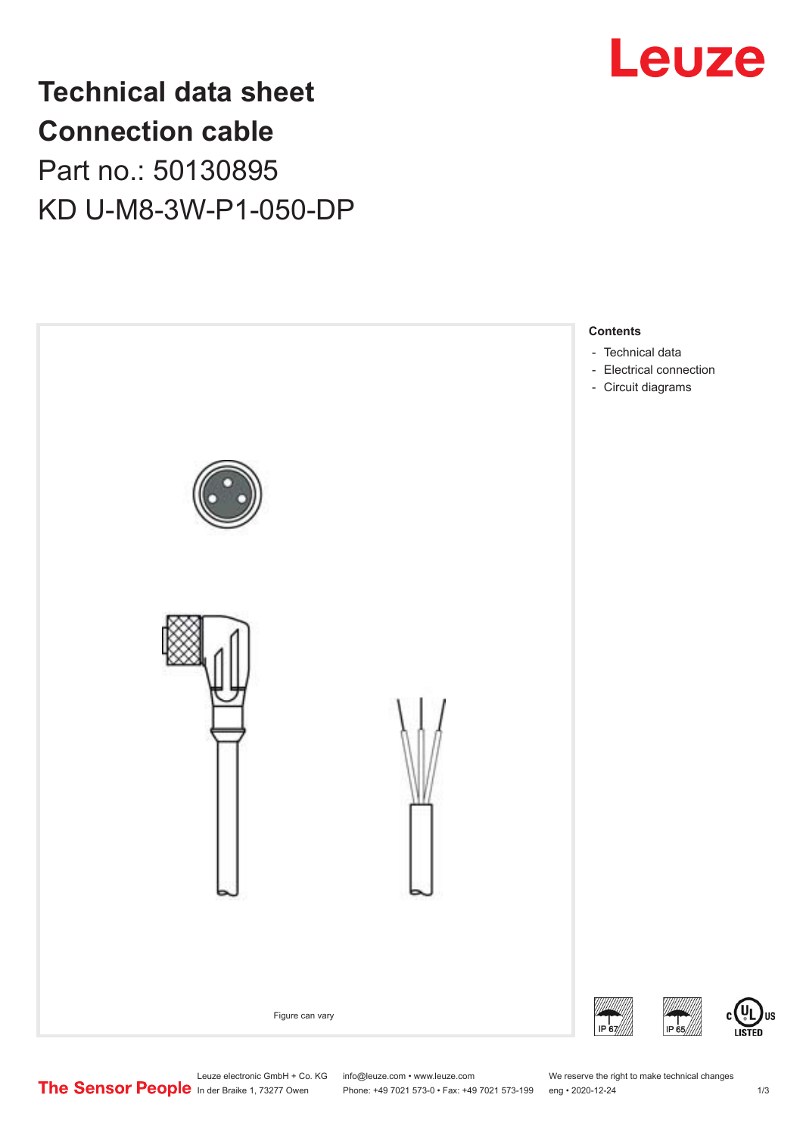

# **Technical data sheet Connection cable** Part no.: 50130895 KD U-M8-3W-P1-050-DP



Leuze electronic GmbH + Co. KG info@leuze.com • www.leuze.com We reserve the right to make technical changes<br>
The Sensor People in der Braike 1, 73277 Owen Phone: +49 7021 573-0 • Fax: +49 7021 573-199 eng • 2020-12-24

Phone: +49 7021 573-0 • Fax: +49 7021 573-199 eng • 2020-12-24 1 2020-12-24

US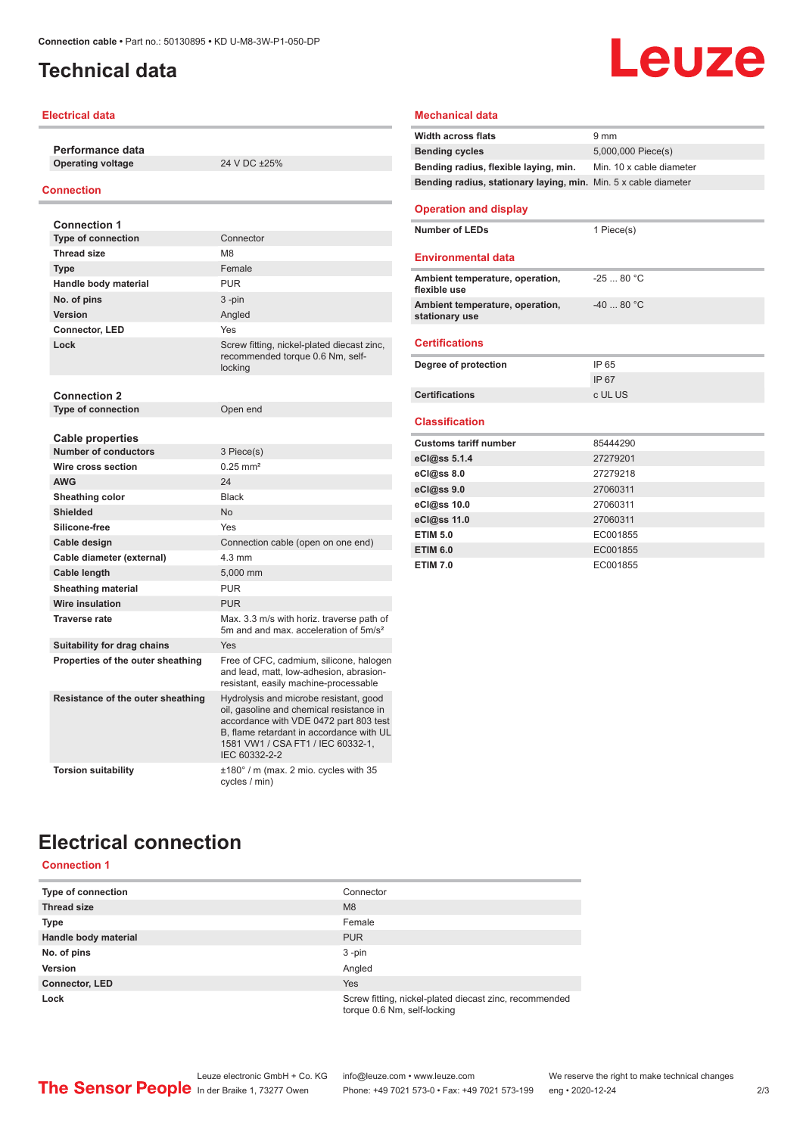### <span id="page-1-0"></span>**Technical data**

#### **Electrical data**

**Performance data Operating voltage** 24 V DC ±25%

#### **Connection**

| <b>Connection 1</b>               |                                                                                                                                                                                                                                |
|-----------------------------------|--------------------------------------------------------------------------------------------------------------------------------------------------------------------------------------------------------------------------------|
| <b>Type of connection</b>         | Connector                                                                                                                                                                                                                      |
| <b>Thread size</b>                | M <sub>8</sub>                                                                                                                                                                                                                 |
| <b>Type</b>                       | Female                                                                                                                                                                                                                         |
| Handle body material              | <b>PUR</b>                                                                                                                                                                                                                     |
| No. of pins                       | $3 - pin$                                                                                                                                                                                                                      |
| Version                           | Angled                                                                                                                                                                                                                         |
| <b>Connector, LED</b>             | Yes                                                                                                                                                                                                                            |
| Lock                              | Screw fitting, nickel-plated diecast zinc,<br>recommended torque 0.6 Nm, self-<br>locking                                                                                                                                      |
| <b>Connection 2</b>               |                                                                                                                                                                                                                                |
| <b>Type of connection</b>         | Open end                                                                                                                                                                                                                       |
|                                   |                                                                                                                                                                                                                                |
| <b>Cable properties</b>           |                                                                                                                                                                                                                                |
| <b>Number of conductors</b>       | 3 Piece(s)                                                                                                                                                                                                                     |
| Wire cross section                | $0.25$ mm <sup>2</sup>                                                                                                                                                                                                         |
| <b>AWG</b>                        | 24                                                                                                                                                                                                                             |
| Sheathing color                   | <b>Black</b>                                                                                                                                                                                                                   |
| <b>Shielded</b>                   | <b>No</b>                                                                                                                                                                                                                      |
| Silicone-free                     | Yes                                                                                                                                                                                                                            |
| Cable design                      | Connection cable (open on one end)                                                                                                                                                                                             |
| Cable diameter (external)         | $4.3 \text{ mm}$                                                                                                                                                                                                               |
| Cable length                      | 5.000 mm                                                                                                                                                                                                                       |
| <b>Sheathing material</b>         | <b>PUR</b>                                                                                                                                                                                                                     |
| <b>Wire insulation</b>            | <b>PUR</b>                                                                                                                                                                                                                     |
| <b>Traverse rate</b>              | Max. 3.3 m/s with horiz. traverse path of<br>5m and and max, acceleration of 5m/s <sup>2</sup>                                                                                                                                 |
| Suitability for drag chains       | Yes                                                                                                                                                                                                                            |
| Properties of the outer sheathing | Free of CFC, cadmium, silicone, halogen<br>and lead, matt, low-adhesion, abrasion-<br>resistant, easily machine-processable                                                                                                    |
| Resistance of the outer sheathing | Hydrolysis and microbe resistant, good<br>oil, gasoline and chemical resistance in<br>accordance with VDE 0472 part 803 test<br>B. flame retardant in accordance with UL<br>1581 VW1 / CSA FT1 / IEC 60332-1,<br>IEC 60332-2-2 |
| <b>Torsion suitability</b>        | $\pm 180^\circ$ / m (max. 2 mio. cycles with 35<br>cycles / min)                                                                                                                                                               |

### **Mechanical data**

| <b>Width across flats</b>                                       | 9 <sub>mm</sub>          |
|-----------------------------------------------------------------|--------------------------|
| <b>Bending cycles</b>                                           | 5,000,000 Piece(s)       |
| Bending radius, flexible laying, min.                           | Min. 10 x cable diameter |
| Bending radius, stationary laying, min. Min. 5 x cable diameter |                          |
| <b>Operation and display</b>                                    |                          |
|                                                                 |                          |
| <b>Number of LEDs</b>                                           | 1 Piece(s)               |
| <b>Environmental data</b>                                       |                          |
|                                                                 |                          |
| Ambient temperature, operation,<br>flexible use                 | $-2580 °C$               |
| Ambient temperature, operation,<br>stationary use               | $-40.80^{\circ}$ C       |
|                                                                 |                          |
| <b>Certifications</b>                                           |                          |
| Degree of protection                                            | IP 65                    |
|                                                                 | IP 67                    |
| <b>Certifications</b>                                           | c UL US                  |
|                                                                 |                          |
| <b>Classification</b>                                           |                          |
| <b>Customs tariff number</b>                                    | 85444290                 |
| eCl@ss 5.1.4                                                    | 27279201                 |
| eCl@ss 8.0                                                      | 27279218                 |
| eCl@ss 9.0                                                      | 27060311                 |
| eCl@ss 10.0                                                     | 27060311                 |
| eCl@ss 11.0                                                     | 27060311                 |
| <b>ETIM 5.0</b>                                                 | EC001855                 |
|                                                                 |                          |
| <b>ETIM 6.0</b>                                                 | EC001855                 |
| <b>ETIM 7.0</b>                                                 | EC001855                 |

**Leuze** 

### **Electrical connection Connection 1**

| Type of connection    | Connector                                                                             |
|-----------------------|---------------------------------------------------------------------------------------|
| <b>Thread size</b>    | M <sub>8</sub>                                                                        |
| <b>Type</b>           | Female                                                                                |
| Handle body material  | <b>PUR</b>                                                                            |
| No. of pins           | $3 - pin$                                                                             |
| <b>Version</b>        | Angled                                                                                |
| <b>Connector, LED</b> | <b>Yes</b>                                                                            |
| Lock                  | Screw fitting, nickel-plated diecast zinc, recommended<br>torque 0.6 Nm, self-locking |

۰